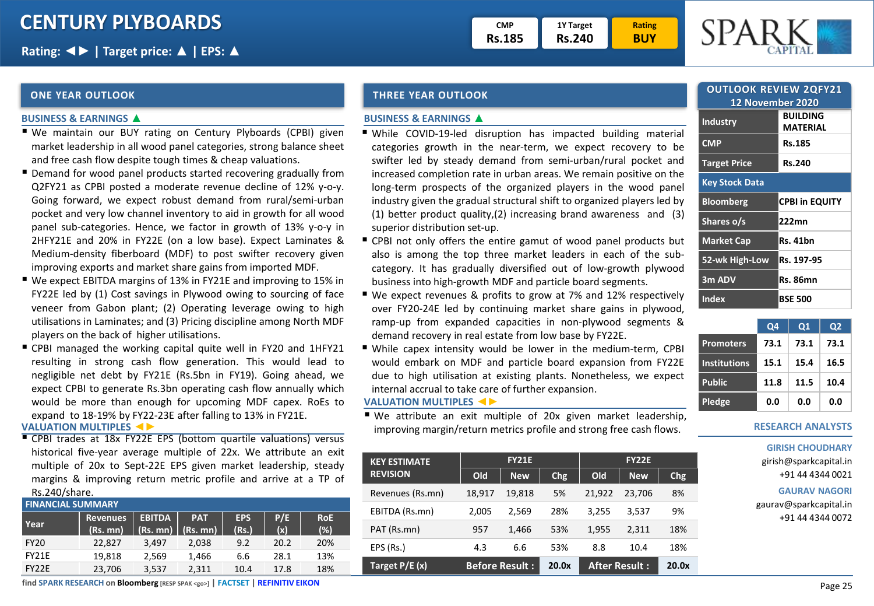| гмр           | 1Y Target     |
|---------------|---------------|
| <b>RS.185</b> | <b>Rs.240</b> |

**Rating BUY**



### **ONE YEAR OUTLOOK THREE YEAR OUTLOOK**

#### **BUSINESS & EARNINGS ▲**

- We maintain our BUY rating on Century Plyboards (CPBI) given market leadership in all wood panel categories, strong balance sheet and free cash flow despite tough times & cheap valuations.
- Demand for wood panel products started recovering gradually from Q2FY21 as CPBI posted a moderate revenue decline of 12% y-o-y. Going forward, we expect robust demand from rural/semi-urban pocket and very low channel inventory to aid in growth for all wood panel sub-categories. Hence, we factor in growth of 13% y-o-y in 2HFY21E and 20% in FY22E (on a low base). Expect Laminates & Medium-density fiberboard **(**MDF) to post swifter recovery given improving exports and market share gains from imported MDF.
- We expect EBITDA margins of 13% in FY21E and improving to 15% in FY22E led by (1) Cost savings in Plywood owing to sourcing of face veneer from Gabon plant; (2) Operating leverage owing to high utilisations in Laminates; and (3) Pricing discipline among North MDF players on the back of higher utilisations.
- CPBI managed the working capital quite well in FY20 and 1HFY21 resulting in strong cash flow generation. This would lead to negligible net debt by FY21E (Rs.5bn in FY19). Going ahead, we expect CPBI to generate Rs.3bn operating cash flow annually which would be more than enough for upcoming MDF capex. RoEs to expand to 18-19% by FY22-23E after falling to 13% in FY21E.

### **VALUATION MULTIPLES ◄►**

**EX CPBI trades at 18x FY22E EPS (bottom quartile valuations) versus** historical five-year average multiple of 22x. We attribute an exit multiple of 20x to Sept-22E EPS given market leadership, steady margins & improving return metric profile and arrive at a TP of Rs.240/share.

| <b>FINANCIAL SUMMARY</b> |                             |               |                                         |                     |            |                   |  |  |  |  |
|--------------------------|-----------------------------|---------------|-----------------------------------------|---------------------|------------|-------------------|--|--|--|--|
| Year                     | <b>Revenues</b><br>(Rs. mn) | <b>EBITDA</b> | <b>PAT</b><br>$(Rs.$ mn) $(Rs.$ mn) $)$ | <b>EPS</b><br>(Rs.) | P/E<br>(x) | <b>RoE</b><br>(%) |  |  |  |  |
| <b>FY20</b>              | 22.827                      | 3.497         | 2.038                                   | 9.2                 | 20.2       | 20%               |  |  |  |  |
| <b>FY21E</b>             | 19,818                      | 2.569         | 1,466                                   | 6.6                 | 28.1       | 13%               |  |  |  |  |
| FY22E                    | 23,706                      | 3,537         | 2.311                                   | 10.4                | 17.8       | 18%               |  |  |  |  |

#### **BUSINESS & EARNINGS ▲**

- While COVID-19-led disruption has impacted building material categories growth in the near-term, we expect recovery to be swifter led by steady demand from semi-urban/rural pocket and increased completion rate in urban areas. We remain positive on the long-term prospects of the organized players in the wood panel industry given the gradual structural shift to organized players led by (1) better product quality,(2) increasing brand awareness and (3) superior distribution set-up.
- CPBI not only offers the entire gamut of wood panel products but also is among the top three market leaders in each of the subcategory. It has gradually diversified out of low-growth plywood business into high-growth MDF and particle board segments.
- We expect revenues & profits to grow at 7% and 12% respectively over FY20-24E led by continuing market share gains in plywood, ramp-up from expanded capacities in non-plywood segments & demand recovery in real estate from low base by FY22E.
- While capex intensity would be lower in the medium-term, CPBI would embark on MDF and particle board expansion from FY22E due to high utilisation at existing plants. Nonetheless, we expect internal accrual to take care of further expansion.

#### **VALUATION MULTIPLES ◄►**

■ We attribute an exit multiple of 20x given market leadership, improving margin/return metrics profile and strong free cash flows.

| <b>KEY ESTIMATE</b> |                       | <b>FY21E</b> |            | <b>FY22E</b>         |            |            |  |
|---------------------|-----------------------|--------------|------------|----------------------|------------|------------|--|
| <b>REVISION</b>     | Old                   | <b>New</b>   | <b>Chg</b> | Old                  | <b>New</b> | <b>Chg</b> |  |
| Revenues (Rs.mn)    | 18,917                | 19,818       | 5%         | 21,922               | 23,706     | 8%         |  |
| EBITDA (Rs.mn)      | 2.005                 | 2.569        | 28%        | 3,255                | 3,537      | 9%         |  |
| PAT (Rs.mn)         | 957                   | 1,466        | 53%        | 1,955                | 2,311      | 18%        |  |
| EPS (Rs.)           | 4.3                   | 6.6          | 53%        | 8.8                  | 10.4       | 18%        |  |
| Target P/E (x)      | <b>Before Result:</b> |              | 20.0x      | <b>After Result:</b> |            | 20.0x      |  |

| <b>OUTLOOK REVIEW 2QFY21</b> |                       |  |  |  |  |  |  |
|------------------------------|-----------------------|--|--|--|--|--|--|
| <b>12 November 2020</b>      |                       |  |  |  |  |  |  |
| <b>Industry</b>              | BUILDING              |  |  |  |  |  |  |
|                              | MATERIAL              |  |  |  |  |  |  |
| <b>CMP</b>                   | Rs.185                |  |  |  |  |  |  |
| <b>Target Price</b>          | <b>Rs.240</b>         |  |  |  |  |  |  |
| Key Stock Data               |                       |  |  |  |  |  |  |
| <b>Bloomberg</b>             | <b>CPBI in EQUITY</b> |  |  |  |  |  |  |
| Shares o/s                   | 222mn                 |  |  |  |  |  |  |
| <b>Market Cap</b>            | <b>Rs. 41bn</b>       |  |  |  |  |  |  |
| 52-wk High-Low               | Rs. 197-95            |  |  |  |  |  |  |
| 3m ADV                       | <b>Rs. 86mn</b>       |  |  |  |  |  |  |
| Index                        | BSE 500               |  |  |  |  |  |  |

|                     | <b>Q4</b> | $\Omega$ 1 | Q2   |
|---------------------|-----------|------------|------|
| <b>Promoters</b>    | 73.1      | 73.1       | 73.1 |
| <b>Institutions</b> | 15.1      | 15.4       | 16.5 |
| <b>Public</b>       | 11.8      | 11.5       | 10.4 |
| Pledge              | 0.0       | 0.0        | 0.0  |

### **RESEARCH ANALYSTS**

**GIRISH CHOUDHARY** girish@sparkcapital.in

+91 44 4344 0021

### **GAURAV NAGORI**

gaurav@sparkcapital.in +91 44 4344 0072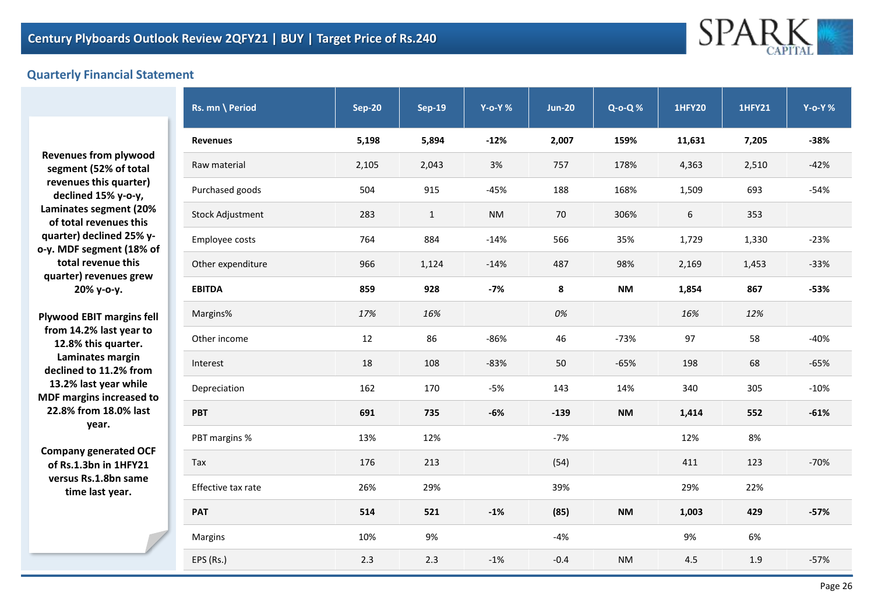

## **Quarterly Financial Statement**

**Revenues from plywood segment (52% of total revenues this quarter) declined 15% y-o-y, Laminates segment (20% of total revenues this quarter) declined 25% yo-y. MDF segment (18% of total revenue this quarter) revenues grew 20% y-o-y.**

**Plywood EBIT margins fell from 14.2% last year to 12.8% this quarter. Laminates margin declined to 11.2% from 13.2% last year while MDF margins increased to 22.8% from 18.0% last year.**

**Company generated OCF of Rs.1.3bn in 1HFY21 versus Rs.1.8bn same time last year.**

| Rs. mn \ Period         | <b>Sep-20</b> | <b>Sep-19</b> | $Y$ -o-Y $%$ | <b>Jun-20</b> | $Q - 0 - Q$ % | <b>1HFY20</b> | <b>1HFY21</b> | <b>Y-o-Y%</b> |
|-------------------------|---------------|---------------|--------------|---------------|---------------|---------------|---------------|---------------|
| <b>Revenues</b>         | 5,198         | 5,894         | $-12%$       | 2,007         | 159%          | 11,631        | 7,205         | $-38%$        |
| Raw material            | 2,105         | 2,043         | 3%           | 757           | 178%          | 4,363         | 2,510         | $-42%$        |
| Purchased goods         | 504           | 915           | $-45%$       | 188           | 168%          | 1,509         | 693           | $-54%$        |
| <b>Stock Adjustment</b> | 283           | $\mathbf{1}$  | <b>NM</b>    | 70            | 306%          | 6             | 353           |               |
| Employee costs          | 764           | 884           | $-14%$       | 566           | 35%           | 1,729         | 1,330         | $-23%$        |
| Other expenditure       | 966           | 1,124         | $-14%$       | 487           | 98%           | 2,169         | 1,453         | $-33%$        |
| <b>EBITDA</b>           | 859           | 928           | $-7%$        | 8             | NΜ            | 1,854         | 867           | $-53%$        |
| Margins%                | 17%           | 16%           |              | 0%            |               | 16%           | 12%           |               |
| Other income            | 12            | 86            | -86%         | 46            | $-73%$        | 97            | 58            | $-40%$        |
| Interest                | 18            | 108           | $-83%$       | 50            | $-65%$        | 198           | 68            | $-65%$        |
| Depreciation            | 162           | 170           | -5%          | 143           | 14%           | 340           | 305           | $-10%$        |
| <b>PBT</b>              | 691           | 735           | $-6%$        | $-139$        | <b>NM</b>     | 1,414         | 552           | $-61%$        |
| PBT margins %           | 13%           | 12%           |              | -7%           |               | 12%           | 8%            |               |
| Tax                     | 176           | 213           |              | (54)          |               | 411           | 123           | $-70%$        |
| Effective tax rate      | 26%           | 29%           |              | 39%           |               | 29%           | 22%           |               |
| <b>PAT</b>              | 514           | 521           | $-1%$        | (85)          | <b>NM</b>     | 1,003         | 429           | $-57%$        |
| Margins                 | 10%           | 9%            |              | $-4%$         |               | 9%            | 6%            |               |
| EPS (Rs.)               | 2.3           | 2.3           | $-1%$        | $-0.4$        | <b>NM</b>     | 4.5           | 1.9           | $-57%$        |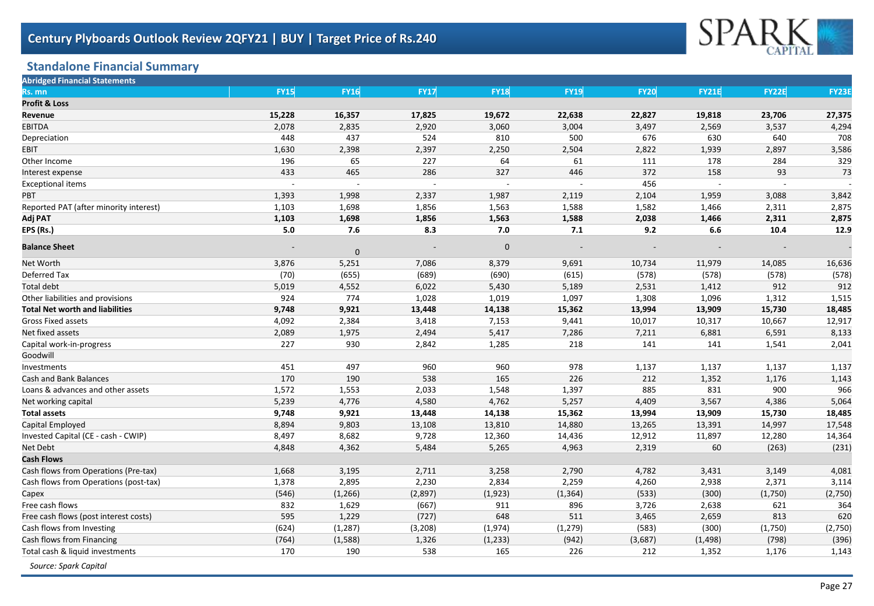

# **Standalone Financial Summary**

| <b>Abridged Financial Statements</b>   |             |                  |             |                |             |             |              |                          |              |
|----------------------------------------|-------------|------------------|-------------|----------------|-------------|-------------|--------------|--------------------------|--------------|
| Rs. mn                                 | <b>FY15</b> | <b>FY16</b>      | <b>FY17</b> | <b>FY18</b>    | <b>FY19</b> | <b>FY20</b> | <b>FY21E</b> | <b>FY22E</b>             | <b>FY23E</b> |
| <b>Profit &amp; Loss</b>               |             |                  |             |                |             |             |              |                          |              |
| Revenue                                | 15,228      | 16,357           | 17,825      | 19,672         | 22,638      | 22,827      | 19,818       | 23,706                   | 27,375       |
| <b>EBITDA</b>                          | 2,078       | 2,835            | 2,920       | 3,060          | 3,004       | 3,497       | 2,569        | 3,537                    | 4,294        |
| Depreciation                           | 448         | 437              | 524         | 810            | 500         | 676         | 630          | 640                      | 708          |
| <b>EBIT</b>                            | 1,630       | 2,398            | 2,397       | 2,250          | 2,504       | 2,822       | 1,939        | 2,897                    | 3,586        |
| Other Income                           | 196         | 65               | 227         | 64             | 61          | 111         | 178          | 284                      | 329          |
| Interest expense                       | 433         | 465              | 286         | 327            | 446         | 372         | 158          | 93                       | 73           |
| <b>Exceptional items</b>               |             |                  |             |                |             | 456         | $\sim$       | $\overline{\phantom{a}}$ |              |
| <b>PBT</b>                             | 1,393       | 1,998            | 2,337       | 1,987          | 2,119       | 2,104       | 1,959        | 3,088                    | 3,842        |
| Reported PAT (after minority interest) | 1,103       | 1,698            | 1,856       | 1,563          | 1,588       | 1,582       | 1,466        | 2,311                    | 2,875        |
| Adj PAT                                | 1,103       | 1,698            | 1,856       | 1,563          | 1,588       | 2,038       | 1,466        | 2,311                    | 2,875        |
| EPS (Rs.)                              | 5.0         | 7.6              | 8.3         | 7.0            | 7.1         | 9.2         | 6.6          | 10.4                     | 12.9         |
| <b>Balance Sheet</b>                   |             | $\boldsymbol{0}$ |             | $\overline{0}$ |             |             |              |                          |              |
| Net Worth                              | 3,876       | 5,251            | 7,086       | 8,379          | 9,691       | 10,734      | 11,979       | 14,085                   | 16,636       |
| Deferred Tax                           | (70)        | (655)            | (689)       | (690)          | (615)       | (578)       | (578)        | (578)                    | (578)        |
| <b>Total debt</b>                      | 5,019       | 4,552            | 6,022       | 5,430          | 5,189       | 2,531       | 1,412        | 912                      | 912          |
| Other liabilities and provisions       | 924         | 774              | 1,028       | 1,019          | 1,097       | 1,308       | 1,096        | 1,312                    | 1,515        |
| <b>Total Net worth and liabilities</b> | 9,748       | 9,921            | 13,448      | 14,138         | 15,362      | 13,994      | 13,909       | 15,730                   | 18,485       |
| <b>Gross Fixed assets</b>              | 4,092       | 2,384            | 3,418       | 7,153          | 9,441       | 10,017      | 10,317       | 10,667                   | 12,917       |
| Net fixed assets                       | 2,089       | 1,975            | 2,494       | 5,417          | 7,286       | 7,211       | 6,881        | 6,591                    | 8,133        |
| Capital work-in-progress               | 227         | 930              | 2,842       | 1,285          | 218         | 141         | 141          | 1,541                    | 2,041        |
| Goodwill                               |             |                  |             |                |             |             |              |                          |              |
| Investments                            | 451         | 497              | 960         | 960            | 978         | 1,137       | 1,137        | 1,137                    | 1,137        |
| Cash and Bank Balances                 | 170         | 190              | 538         | 165            | 226         | 212         | 1,352        | 1,176                    | 1,143        |
| Loans & advances and other assets      | 1,572       | 1,553            | 2,033       | 1,548          | 1,397       | 885         | 831          | 900                      | 966          |
| Net working capital                    | 5,239       | 4,776            | 4,580       | 4,762          | 5,257       | 4,409       | 3,567        | 4,386                    | 5,064        |
| <b>Total assets</b>                    | 9,748       | 9,921            | 13,448      | 14,138         | 15,362      | 13,994      | 13,909       | 15,730                   | 18,485       |
| Capital Employed                       | 8,894       | 9,803            | 13,108      | 13,810         | 14,880      | 13,265      | 13,391       | 14,997                   | 17,548       |
| Invested Capital (CE - cash - CWIP)    | 8,497       | 8,682            | 9,728       | 12,360         | 14,436      | 12,912      | 11,897       | 12,280                   | 14,364       |
| Net Debt                               | 4,848       | 4,362            | 5,484       | 5,265          | 4,963       | 2,319       | 60           | (263)                    | (231)        |
| <b>Cash Flows</b>                      |             |                  |             |                |             |             |              |                          |              |
| Cash flows from Operations (Pre-tax)   | 1,668       | 3,195            | 2,711       | 3,258          | 2,790       | 4,782       | 3,431        | 3,149                    | 4,081        |
| Cash flows from Operations (post-tax)  | 1,378       | 2,895            | 2,230       | 2,834          | 2,259       | 4,260       | 2,938        | 2,371                    | 3,114        |
| Capex                                  | (546)       | (1, 266)         | (2,897)     | (1, 923)       | (1, 364)    | (533)       | (300)        | (1,750)                  | (2,750)      |
| Free cash flows                        | 832         | 1,629            | (667)       | 911            | 896         | 3,726       | 2,638        | 621                      | 364          |
| Free cash flows (post interest costs)  | 595         | 1,229            | (727)       | 648            | 511         | 3,465       | 2,659        | 813                      | 620          |
| Cash flows from Investing              | (624)       | (1, 287)         | (3, 208)    | (1,974)        | (1, 279)    | (583)       | (300)        | (1,750)                  | (2,750)      |
| Cash flows from Financing              | (764)       | (1,588)          | 1,326       | (1, 233)       | (942)       | (3,687)     | (1, 498)     | (798)                    | (396)        |
| Total cash & liquid investments        | 170         | 190              | 538         | 165            | 226         | 212         | 1,352        | 1,176                    | 1,143        |
| Source: Spark Capital                  |             |                  |             |                |             |             |              |                          |              |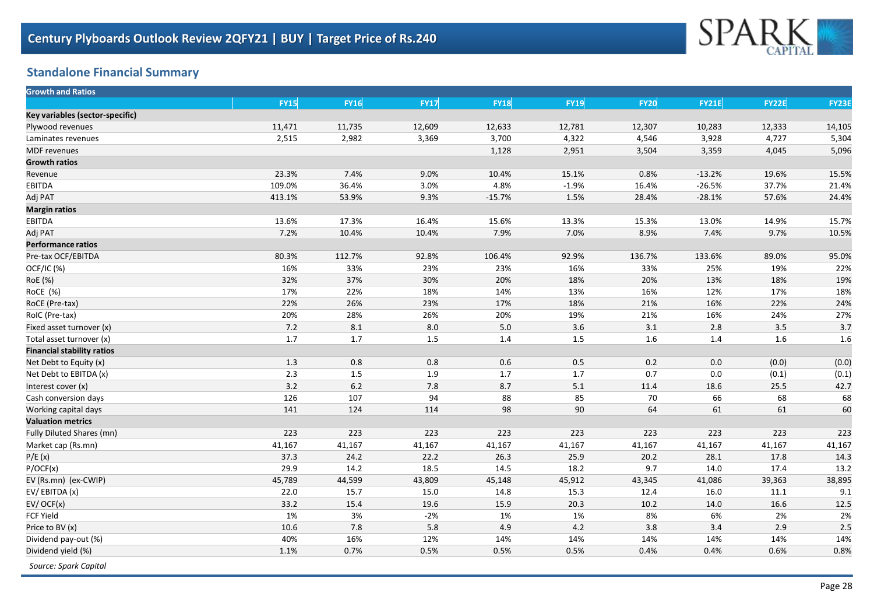

## **Standalone Financial Summary**

| <b>Growth and Ratios</b>          |             |             |             |             |             |             |              |              |              |
|-----------------------------------|-------------|-------------|-------------|-------------|-------------|-------------|--------------|--------------|--------------|
|                                   | <b>FY15</b> | <b>FY16</b> | <b>FY17</b> | <b>FY18</b> | <b>FY19</b> | <b>FY20</b> | <b>FY21E</b> | <b>FY22E</b> | <b>FY23E</b> |
| Key variables (sector-specific)   |             |             |             |             |             |             |              |              |              |
| Plywood revenues                  | 11,471      | 11,735      | 12,609      | 12,633      | 12,781      | 12,307      | 10,283       | 12,333       | 14,105       |
| Laminates revenues                | 2,515       | 2,982       | 3,369       | 3,700       | 4,322       | 4,546       | 3,928        | 4,727        | 5,304        |
| <b>MDF</b> revenues               |             |             |             | 1,128       | 2,951       | 3,504       | 3,359        | 4,045        | 5,096        |
| <b>Growth ratios</b>              |             |             |             |             |             |             |              |              |              |
| Revenue                           | 23.3%       | 7.4%        | 9.0%        | 10.4%       | 15.1%       | 0.8%        | $-13.2%$     | 19.6%        | 15.5%        |
| EBITDA                            | 109.0%      | 36.4%       | 3.0%        | 4.8%        | $-1.9%$     | 16.4%       | $-26.5%$     | 37.7%        | 21.4%        |
| Adj PAT                           | 413.1%      | 53.9%       | 9.3%        | $-15.7%$    | 1.5%        | 28.4%       | $-28.1%$     | 57.6%        | 24.4%        |
| <b>Margin ratios</b>              |             |             |             |             |             |             |              |              |              |
| EBITDA                            | 13.6%       | 17.3%       | 16.4%       | 15.6%       | 13.3%       | 15.3%       | 13.0%        | 14.9%        | 15.7%        |
| Adj PAT                           | 7.2%        | 10.4%       | 10.4%       | 7.9%        | 7.0%        | 8.9%        | 7.4%         | 9.7%         | 10.5%        |
| <b>Performance ratios</b>         |             |             |             |             |             |             |              |              |              |
| Pre-tax OCF/EBITDA                | 80.3%       | 112.7%      | 92.8%       | 106.4%      | 92.9%       | 136.7%      | 133.6%       | 89.0%        | 95.0%        |
| OCF/IC (%)                        | 16%         | 33%         | 23%         | 23%         | 16%         | 33%         | 25%          | 19%          | 22%          |
| RoE (%)                           | 32%         | 37%         | 30%         | 20%         | 18%         | 20%         | 13%          | 18%          | 19%          |
| RoCE (%)                          | 17%         | 22%         | 18%         | 14%         | 13%         | 16%         | 12%          | 17%          | 18%          |
| RoCE (Pre-tax)                    | 22%         | 26%         | 23%         | 17%         | 18%         | 21%         | 16%          | 22%          | 24%          |
| RoIC (Pre-tax)                    | 20%         | 28%         | 26%         | 20%         | 19%         | 21%         | 16%          | 24%          | 27%          |
| Fixed asset turnover (x)          | 7.2         | $8.1\,$     | 8.0         | 5.0         | 3.6         | 3.1         | $2.8\,$      | 3.5          | 3.7          |
| Total asset turnover (x)          | 1.7         | 1.7         | 1.5         | $1.4$       | 1.5         | 1.6         | 1.4          | 1.6          | 1.6          |
| <b>Financial stability ratios</b> |             |             |             |             |             |             |              |              |              |
| Net Debt to Equity (x)            | 1.3         | $0.8\,$     | 0.8         | 0.6         | 0.5         | 0.2         | 0.0          | (0.0)        | (0.0)        |
| Net Debt to EBITDA (x)            | 2.3         | 1.5         | 1.9         | 1.7         | 1.7         | 0.7         | 0.0          | (0.1)        | (0.1)        |
| Interest cover (x)                | 3.2         | $6.2\,$     | 7.8         | 8.7         | 5.1         | 11.4        | 18.6         | 25.5         | 42.7         |
| Cash conversion days              | 126         | 107         | 94          | 88          | 85          | 70          | 66           | 68           | 68           |
| Working capital days              | 141         | 124         | 114         | 98          | 90          | 64          | 61           | 61           | 60           |
| <b>Valuation metrics</b>          |             |             |             |             |             |             |              |              |              |
| Fully Diluted Shares (mn)         | 223         | 223         | 223         | 223         | 223         | 223         | 223          | 223          | 223          |
| Market cap (Rs.mn)                | 41,167      | 41,167      | 41,167      | 41,167      | 41,167      | 41,167      | 41,167       | 41,167       | 41,167       |
| P/E(x)                            | 37.3        | 24.2        | 22.2        | 26.3        | 25.9        | 20.2        | 28.1         | 17.8         | 14.3         |
| P/OCF(x)                          | 29.9        | 14.2        | 18.5        | 14.5        | 18.2        | 9.7         | 14.0         | 17.4         | 13.2         |
| EV (Rs.mn) (ex-CWIP)              | 45,789      | 44,599      | 43,809      | 45,148      | 45,912      | 43,345      | 41,086       | 39,363       | 38,895       |
| EV/EBITDA(x)                      | 22.0        | 15.7        | 15.0        | 14.8        | 15.3        | 12.4        | 16.0         | 11.1         | 9.1          |
| $EV/$ OCF( $x$ )                  | 33.2        | 15.4        | 19.6        | 15.9        | 20.3        | 10.2        | 14.0         | 16.6         | 12.5         |
| <b>FCF Yield</b>                  | 1%          | 3%          | $-2%$       | 1%          | 1%          | 8%          | 6%           | 2%           | 2%           |
| Price to BV (x)                   | 10.6        | 7.8         | 5.8         | 4.9         | 4.2         | 3.8         | 3.4          | 2.9          | 2.5          |
| Dividend pay-out (%)              | 40%         | 16%         | 12%         | 14%         | 14%         | 14%         | 14%          | 14%          | 14%          |
| Dividend yield (%)                | 1.1%        | 0.7%        | 0.5%        | 0.5%        | 0.5%        | 0.4%        | 0.4%         | 0.6%         | 0.8%         |
| Source: Spark Capital             |             |             |             |             |             |             |              |              |              |